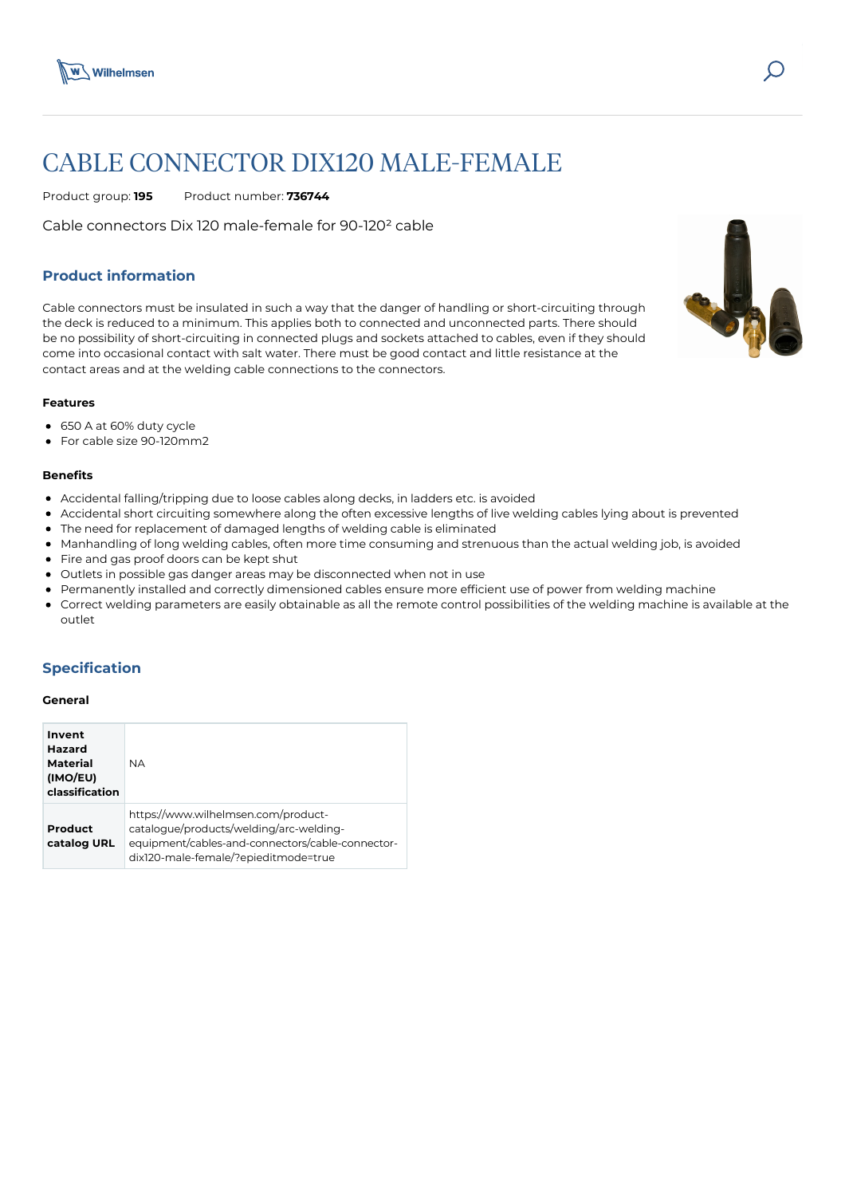

# CABLE CONNECTOR DIX120 MALE-FEMALE

Product group: **195** Product number: **736744**

Cable connectors Dix 120 male-female for 90-120² cable

# **Product information**

Cable connectors must be insulated in such a way that the danger of handling or short-circuiting through the deck is reduced to a minimum. This applies both to connected and unconnected parts. There should be no possibility of short-circuiting in connected plugs and sockets attached to cables, even if they should come into occasional contact with salt water. There must be good contact and little resistance at the contact areas and at the welding cable connections to the connectors.

#### **Features**

- 650 A at 60% duty cycle
- For cable size 90-120mm2

#### **Benefits**

- Accidental falling/tripping due to loose cables along decks, in ladders etc. is avoided
- Accidental short circuiting somewhere along the often excessive lengths of live welding cables lying about is prevented
- The need for replacement of damaged lengths of welding cable is eliminated
- Manhandling of long welding cables, often more time consuming and strenuous than the actual welding job, is avoided
- Fire and gas proof doors can be kept shut
- Outlets in possible gas danger areas may be disconnected when not in use
- Permanently installed and correctly dimensioned cables ensure more efficient use of power from welding machine
- Correct welding parameters are easily obtainable as all the remote control possibilities of the welding machine is available at the outlet

## **Specification**

#### **General**

| Invent<br><b>Hazard</b><br>Material<br>(IMO/EU)<br>classification | <b>NA</b>                                                                                                                                                                  |
|-------------------------------------------------------------------|----------------------------------------------------------------------------------------------------------------------------------------------------------------------------|
| Product<br>catalog URL                                            | https://www.wilhelmsen.com/product-<br>catalogue/products/welding/arc-welding-<br>equipment/cables-and-connectors/cable-connector-<br>dix120-male-female/?epieditmode=true |